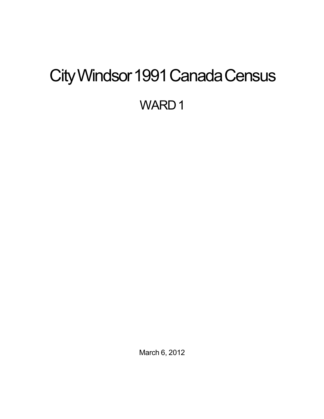# <span id="page-0-0"></span>City Windsor 1991 Canada Census WARD<sub>1</sub>

March 6, 2012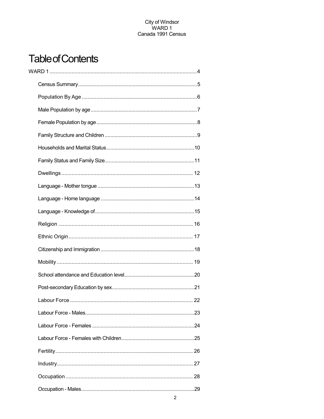## **Table of Contents**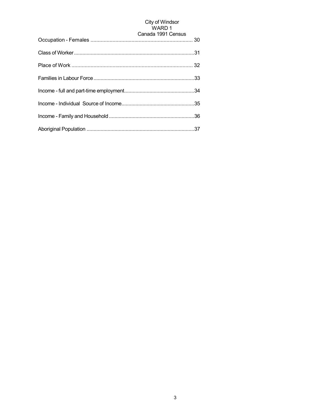## City of Windsor<br>WARD 1

| Canada 1991 Census |
|--------------------|
|                    |
|                    |
|                    |
|                    |
|                    |
|                    |
|                    |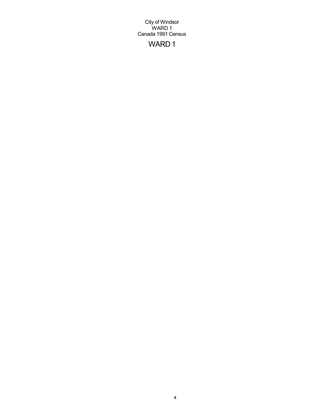## WARD 1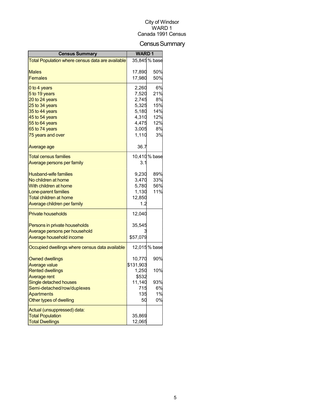## Census Summary

| <b>Census Summary</b>                            | <b>WARD1</b> |               |
|--------------------------------------------------|--------------|---------------|
| Total Population where census data are available |              | 35,845 % base |
|                                                  |              |               |
| Males                                            | 17,890       | 50%           |
| <b>Females</b>                                   | 17,980       | 50%           |
| 0 to 4 years                                     | 2,260        | 6%            |
| 5 to 19 years                                    | 7,520        | 21%           |
| 20 to 24 years                                   | 2,745        | 8%            |
| 25 to 34 years                                   | 5,325        | 15%           |
| 35 to 44 years                                   | 5,180        | 14%           |
| 45 to 54 years                                   | 4,310        | 12%           |
| 55 to 64 years                                   | 4,475        | 12%           |
| 65 to 74 years                                   | 3,005        | 8%            |
| 75 years and over                                | 1,110        | 3%            |
| Average age                                      | 36.7         |               |
| <b>Total census families</b>                     |              | 10,410 % base |
| <u>Average persons per family</u>                | 3.1          |               |
| <b>Husband-wife families</b>                     | 9,230        | 89%           |
| No children at home                              | 3,470        | 33%           |
| With children at home                            | 5,780        | 56%           |
| Lone-parent families                             | 1,130        | 11%           |
| Total children at home                           | 12,850       |               |
| Average children per family                      | 1.2          |               |
| <b>Private households</b>                        | 12,040       |               |
| Persons in private households                    | 35,545       |               |
| Average persons per household                    |              |               |
| Average household income                         | \$57,079     |               |
| Occupied dwellings where census data available   |              | 12,015 % base |
| <b>Owned dwellings</b>                           | 10,770       | 90%           |
| Average value                                    | \$131,903    |               |
| <b>Rented dwellings</b>                          | 1,250        | 10%           |
| Average rent                                     | \$532        |               |
| Single detached houses                           | 11,140       | 93%           |
| Semi-detached/row/duplexes                       | 715          | 6%            |
| Apartments                                       | 135          | 1%            |
| Other types of dwelling                          | 50           | 0%            |
| Actual (unsuppressed) data:                      |              |               |
| <b>Total Population</b>                          | 35,869       |               |
| <b>Total Dwellings</b>                           | 12,065       |               |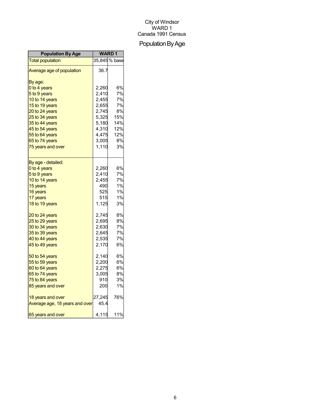## Population By Age

| <b>Population By Age</b>       | <b>WARD1</b> |              |
|--------------------------------|--------------|--------------|
| <b>Total population</b>        |              | 35,845% base |
| Average age of population      | 36.7         |              |
| By age:                        |              |              |
| 0 to 4 years                   | 2,260        | 6%           |
| 5 to 9 years                   | 2,410        | 7%           |
| 10 to 14 years                 | 2,455        | 7%           |
| 15 to 19 years                 | 2,655        | 7%           |
| 20 to 24 years                 | 2,745        | 8%           |
| 25 to 34 years                 | 5,325        | 15%          |
| 35 to 44 years                 | 5,180        | 14%          |
| 45 to 54 years                 | 4,310        | 12%          |
| 55 to 64 years                 | 4,475        | 12%          |
| 65 to 74 years                 | 3,005        | 8%           |
| 75 years and over              | 1,110        | 3%           |
| By age - detailed:             |              |              |
| 0 to 4 years                   | 2,260        | 6%           |
| 5 to 9 years                   | 2,410        | 7%           |
| 10 to 14 years                 | 2,455        | 7%           |
| 15 years                       | 490          | 1%           |
| 16 years                       | 525          | 1%           |
| 17 years                       | 515          | 1%           |
| 18 to 19 years                 | 1,125        | 3%           |
| 20 to 24 years                 | 2,745        | 8%           |
| 25 to 29 years                 | 2,695        | 8%           |
| 30 to 34 years                 | 2,630        | 7%           |
| 35 to 39 years                 | 2,645        | 7%           |
| 40 to 44 years                 | 2,535        | 7%           |
| 45 to 49 years                 | 2,170        | 6%           |
| 50 to 54 years                 | 2,140        | 6%           |
| 55 to 59 years                 | 2,200        | 6%           |
| 60 to 64 years                 | 2,275        | 6%           |
| 65 to 74 years                 | 3,005        | 8%           |
| 75 to 84 years                 | 910          | 3%           |
| 85 years and over              | 200          | 1%           |
| 18 years and over              | 27,245       | 76%          |
| Average age, 18 years and over | 45.4         |              |
| 65 years and over              | 4,115        | 11%          |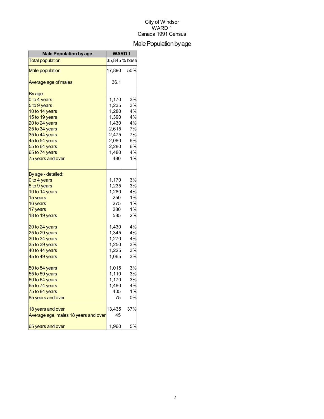## Male Population by age

| <b>Male Population by age</b>        | <b>WARD1</b> |               |
|--------------------------------------|--------------|---------------|
| <b>Total population</b>              |              | 35,845 % base |
| <b>Male population</b>               | 17,890       | 50%           |
| Average age of males                 | 36.1         |               |
| By age:                              |              |               |
| 0 to 4 years                         | 1,170        | 3%            |
| 5 to 9 years                         | 1,235        | 3%            |
| 10 to 14 years                       | 1,280        | 4%            |
| 15 to 19 years                       | 1,390        | 4%            |
| 20 to 24 years                       | 1,430        | 4%            |
| 25 to 34 years                       | 2,615        | 7%            |
| 35 to 44 years                       | 2,475        | 7%            |
| 45 to 54 years                       | 2,080        | 6%            |
| 55 to 64 years                       | 2,280        | 6%            |
| 65 to 74 years                       | 1,480        | 4%            |
| 75 years and over                    | 480          | 1%            |
| By age - detailed:                   |              |               |
| 0 to 4 years                         | 1,170        | 3%            |
| 5 to 9 years                         | 1,235        | 3%            |
| 10 to 14 years                       | 1,280        | 4%            |
| 15 years                             | 250          | 1%            |
| 16 years                             | 275          | 1%            |
| 17 years                             | 280          | 1%            |
| 18 to 19 years                       | 585          | 2%            |
| 20 to 24 years                       | 1,430        | 4%            |
| 25 to 29 years                       | 1,345        | 4%            |
| 30 to 34 years                       | 1,270        | 4%            |
| 35 to 39 years                       | 1,250        | 3%            |
| 40 to 44 years                       | 1,225        | 3%            |
| 45 to 49 years                       | 1,065        | 3%            |
| 50 to 54 years                       | 1,015        | 3%            |
| 55 to 59 years                       | 1,110        | 3%            |
| 60 to 64 years                       | 1,170        | 3%            |
| 65 to 74 years                       | 1,480        | 4%            |
| 75 to 84 years                       | 405          | 1%            |
| 85 years and over                    | 75           | 0%            |
| 18 years and over                    | 13,435       | 37%           |
| Average age, males 18 years and over | 45           |               |
| 65 years and over                    | 1,960        | 5%            |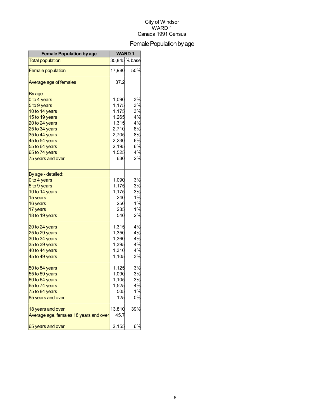## Female Population by age

| <b>Female Population by age</b>        | <b>WARD1</b> |                                |
|----------------------------------------|--------------|--------------------------------|
| <b>Total population</b>                |              | $\overline{35}$ ,845 $\%$ base |
| <b>Female population</b>               | 17,980       | 50%                            |
| Average age of females                 | 37.2         |                                |
| By age:                                |              |                                |
| 0 to 4 years                           | 1,090        | 3%                             |
| 5 to 9 years                           | 1,175        | 3%                             |
| 10 to 14 years                         | 1,175        | 3%                             |
| 15 to 19 years                         | 1,265        | 4%                             |
| 20 to 24 years                         | 1,315        | 4%                             |
| 25 to 34 years                         | 2,710        | 8%                             |
| 35 to 44 years                         | 2,705        | 8%                             |
| 45 to 54 years                         | 2,230        | 6%                             |
| 55 to 64 years                         | 2,195        | 6%                             |
| 65 to 74 years                         | 1,525        | 4%                             |
| 75 years and over                      | 630          | 2%                             |
| By age - detailed:                     |              |                                |
| 0 to 4 years                           | 1,090        | 3%                             |
| 5 to 9 years                           | 1,175        | 3%                             |
| 10 to 14 years                         | 1,175        | 3%                             |
| 15 years                               | 240          | 1%                             |
| 16 years                               | 250          | 1%                             |
| 17 years                               | 235          | 1%                             |
| 18 to 19 years                         | 540          | 2%                             |
| 20 to 24 years                         | 1,315        | 4%                             |
| 25 to 29 years                         | 1,350        | 4%                             |
| 30 to 34 years                         | 1,360        | 4%                             |
| 35 to 39 years                         | 1,395        | 4%                             |
| 40 to 44 years                         | 1,310        | 4%                             |
| 45 to 49 years                         | 1,105        | 3%                             |
| 50 to 54 years                         | 1,125        | 3%                             |
| 55 to 59 years                         | 1,090        | 3%                             |
| 60 to 64 years                         | 1,105        | 3%                             |
| 65 to 74 years                         | 1,525        | 4%                             |
| 75 to 84 years                         | 505          | 1%                             |
| 85 years and over                      | 125          | 0%                             |
| 18 years and over                      | 13,810       | 39%                            |
| Average age, females 18 years and over | 45.7         |                                |
| 65 years and over                      | 2,155        | 6%                             |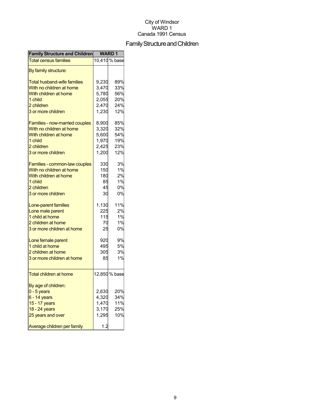## Family Structure and Children

| <b>Family Structure and Children</b> | <b>WARD1</b> |               |
|--------------------------------------|--------------|---------------|
| <b>Total census families</b>         |              | 10,410% base  |
| By family structure:                 |              |               |
| <b>Total husband-wife families</b>   | 9,230        | 89%           |
| With no children at home             | 3,470        | 33%           |
| With children at home                | 5,780        | 56%           |
| 1 child                              | 2,055        | 20%           |
| 2 children                           | 2,470        | 24%           |
| 3 or more children                   | 1,230        | 12%           |
|                                      |              |               |
| Families - now-married couples       | 8,900        | 85%           |
| With no children at home             | 3,320        | 32%           |
| With children at home                | 5,600        | 54%           |
| 1 child                              | 1,970        | 19%           |
| 2 children                           | 2,425        | 23%           |
| 3 or more children                   | 1,200        | 12%           |
| Families - common-law couples        | 330          | 3%            |
| With no children at home             | 150          | 1%            |
| With children at home                | 180          | 2%            |
| 1 child                              | 85           | 1%            |
|                                      |              |               |
| 2 children                           | 45           | 0%            |
| 3 or more children                   | 30           | 0%            |
| Lone-parent families                 | 1,130        | 11%           |
| Lone male parent                     | 225          | 2%            |
| 1 child at home                      | 115          | 1%            |
| 2 children at home                   | 70           | 1%            |
| 3 or more children at home           | 25           | 0%            |
| Lone female parent                   | 920          | 9%            |
| 1 child at home                      | 495          | 5%            |
| 2 children at home                   | 305          | 3%            |
| 3 or more children at home           | 85           | 1%            |
|                                      |              |               |
| Total children at home               |              | 12,850 % base |
|                                      |              |               |
| By age of children:                  |              |               |
| $0 - 5$ years                        | 2,630        | 20%           |
| 6 - 14 years                         | 4,320        | 34%           |
| 15 - 17 years                        | 1,470        | 11%           |
| 18 - 24 years                        | 3,170        | 25%           |
| 25 years and over                    | 1,295        | 10%           |
| Average children per family          | 1.2          |               |
|                                      |              |               |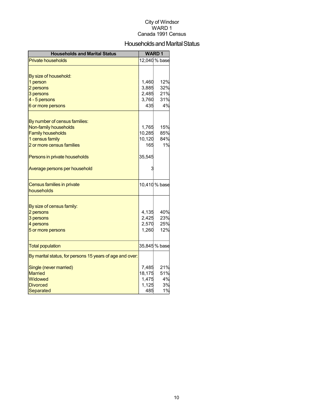#### Households and Marital Status

| <b>Households and Marital Status</b>                     |        | <b>WARD1</b>  |
|----------------------------------------------------------|--------|---------------|
| <b>Private households</b>                                |        | 12,040 % base |
|                                                          |        |               |
| By size of household:                                    |        |               |
| 1 person                                                 | 1,460  | 12%           |
| 2 persons                                                | 3,885  | 32%           |
| 3 persons                                                | 2,485  | 21%           |
| 4 - 5 persons                                            | 3,760  | 31%           |
| 6 or more persons                                        | 435    | 4%            |
|                                                          |        |               |
| By number of census families:                            |        |               |
| Non-family households                                    | 1,765  | 15%           |
| <b>Family households</b>                                 | 10,285 | 85%           |
| 1 census family                                          | 10,120 | 84%           |
| 2 or more census families                                | 165    | 1%            |
| Persons in private households                            | 35,545 |               |
| Average persons per household                            |        |               |
|                                                          |        |               |
| Census families in private                               |        | 10,410 % base |
| households                                               |        |               |
|                                                          |        |               |
| By size of census family:                                |        |               |
| 2 persons                                                | 4,135  | 40%           |
| 3 persons                                                | 2,425  | 23%           |
| 4 persons                                                | 2,570  | 25%           |
| 5 or more persons                                        | 1,260  | 12%           |
| <b>Total population</b>                                  |        | 35,845 % base |
| By marital status, for persons 15 years of age and over: |        |               |
| Single (never married)                                   | 7,485  | 21%           |
| <b>Married</b>                                           | 18,175 | 51%           |
| Widowed                                                  | 1,475  | 4%            |
| <b>Divorced</b>                                          | 1,125  | 3%            |
| Separated                                                | 485    | 1%            |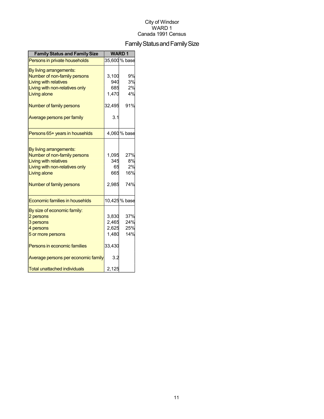## Family Status and Family Size

| <b>Family Status and Family Size</b> |        | <b>WARD1</b>  |
|--------------------------------------|--------|---------------|
| Persons in private households        |        | 35,600 % base |
| By living arrangements:              |        |               |
| Number of non-family persons         | 3,100  | 9%            |
| <b>Living with relatives</b>         | 940    | 3%            |
| Living with non-relatives only       | 685    | 2%            |
| Living alone                         | 1,470  | 4%            |
| Number of family persons             | 32,495 | 91%           |
| Average persons per family           | 3.1    |               |
| Persons 65+ years in househlds       |        | 4,060 % base  |
|                                      |        |               |
| By living arrangements:              |        |               |
| Number of non-family persons         | 1,095  | 27%           |
| <b>Living with relatives</b>         | 345    | 8%            |
| Living with non-relatives only       | 65     | 2%            |
| Living alone                         | 665    | 16%           |
| Number of family persons             | 2,985  | 74%           |
| Economic families in househlds       |        | 10,425 % base |
| By size of economic family:          |        |               |
| 2 persons                            | 3,830  | 37%           |
| 3 persons                            | 2,465  | 24%           |
| 4 persons                            | 2,625  | 25%           |
| 5 or more persons                    | 1,480  | 14%           |
| Persons in economic families         | 33,430 |               |
| Average persons per economic family  | 3.2    |               |
| <b>Total unattached individuals</b>  | 2,125  |               |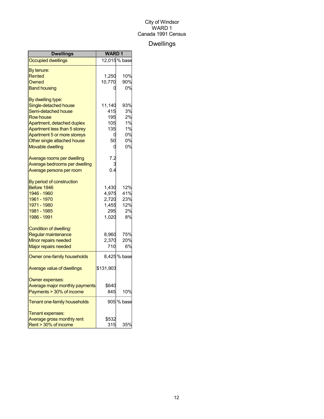## Dwellings

| <b>Dwellings</b>                  | <b>WARD1</b> |              |
|-----------------------------------|--------------|--------------|
| <b>Occupied dwellings</b>         |              | 12,015% base |
| By tenure:                        |              |              |
| Rented                            | 1,250        | 10%          |
| Owned                             | 10,770       | 90%          |
| <b>Band housing</b>               |              | 0%           |
| By dwelling type:                 |              |              |
| Single-detached house             | 11,140       | 93%          |
| Semi-detached house               | 415          | 3%           |
| <b>Row house</b>                  | 195          | 2%           |
| Apartment, detached duplex        | 105          | 1%           |
| Apartment less than 5 storey      | 135          | 1%           |
| Apartment 5 or more storeys       | 0            | 0%           |
| Other single attached house       | 50           | 0%           |
| <b>Movable dwelling</b>           | 0            | 0%           |
| Average rooms per dwelling        | 7.2          |              |
| Average bedrooms per dwelling     |              |              |
| Average persons per room          | 0.4          |              |
| By period of construction         |              |              |
| Before 1946                       | 1,430        | 12%          |
| 1946 - 1960                       | 4,975        | 41%          |
| 1961 - 1970                       | 2,720        | 23%          |
| 1971 - 1980                       | 1,455        | 12%          |
| 1981 - 1985                       | 295          | 2%           |
| 1986 - 1991                       | 1,020        | 8%           |
| Condition of dwelling:            |              |              |
| Regular maintenance               | 8,960        | 75%          |
| Minor repairs needed              | 2,370        | 20%          |
| <b>Major repairs needed</b>       | 710          | 6%           |
| Owner one-family households       |              | 8,425% base  |
| <b>Average value of dwellings</b> | \$131,903    |              |
| Owner expenses:                   |              |              |
| Average major monthly payments    | \$640        |              |
| Payments > 30% of income          | 845          | 10%          |
| Tenant one-family households      |              | 905 % base   |
| Tenant expenses:                  |              |              |
| Average gross monthly rent        | \$532        |              |
| Rent > 30% of income              | 315          | 35%          |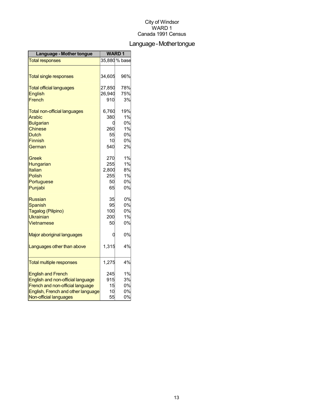## Language-Mothertongue

| Language - Mother tongue            | <b>WARD1</b> |               |
|-------------------------------------|--------------|---------------|
| <b>Total responses</b>              |              | 35,880 % base |
|                                     |              |               |
| <b>Total single responses</b>       | 34,605       | 96%           |
| <b>Total official languages</b>     | 27,850       | 78%           |
| <b>English</b>                      | 26,940       | 75%           |
| French                              | 910          | 3%            |
| <b>Total non-official languages</b> | 6,760        | 19%           |
| <b>Arabic</b>                       | 380          | 1%            |
| <b>Bulgarian</b>                    | 0            | 0%            |
| <b>Chinese</b>                      | 260          | 1%            |
| Dutch                               | 55           | 0%            |
| <b>Finnish</b>                      | 10           | 0%            |
| German                              | 540          | 2%            |
| Greek                               | 270          | 1%            |
| Hungarian                           | 255          | 1%            |
| Italian                             | 2,800        | 8%            |
| Polish                              | 255          | 1%            |
| Portuguese                          | 50           | 0%            |
| Punjabi                             | 65           | 0%            |
| <b>Russian</b>                      | 35           | 0%            |
| <b>Spanish</b>                      | 95           | 0%            |
| Tagalog (Pilipino)                  | 100          | 0%            |
| Ukrainian                           | 200          | 1%            |
| <b>Vietnamese</b>                   | 50           | 0%            |
| Major aboriginal languages          | 0            | 0%            |
| Languages other than above          | 1,315        | 4%            |
| <b>Total multiple responses</b>     | 1,275        | 4%            |
|                                     |              |               |
| <b>English and French</b>           | 245          | 1%            |
| English and non-official language   | 915          | 3%            |
| French and non-official language    | 15           | 0%            |
| English, French and other language  | 10           | 0%            |
| Non-official languages              | 55           | 0%            |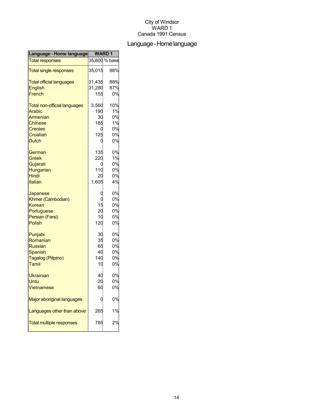## Language-Homelanguage

| Language - Home language            | <b>WARD1</b> |               |
|-------------------------------------|--------------|---------------|
| <b>Total responses</b>              |              | 35,800 % base |
| <b>Total single responses</b>       | 35,015       | 98%           |
| <b>Total official languages</b>     | 31,435       | 88%           |
| <b>English</b>                      | 31,280       | 87%           |
| French                              | 155          | 0%            |
| <b>Total non-official languages</b> | 3,560        | 10%           |
| <b>Arabic</b>                       | 190          | 1%            |
| Armenian                            | 30           | 0%            |
| <b>Chinese</b>                      | 185          | 1%            |
| <b>Creoles</b>                      | C            | 0%            |
| Croatian                            | 125          | 0%            |
| <b>Dutch</b>                        | C            | 0%            |
| German                              | 135          | 0%            |
| Greek                               | 220          | 1%            |
| Gujarati                            | 0            | 0%            |
| Hungarian                           | 110          | 0%            |
| Hindi                               | 20           | 0%            |
| Italian                             | 1,605        | 4%            |
| Japanese                            |              | 0%            |
| Khmer (Cambodian)                   |              | 0%            |
| Korean                              | 15           | 0%            |
| Portuguese                          | 20           | 0%            |
| Persian (Farsi)                     | 10           | 0%            |
| Polish                              | 120          | 0%            |
| Punjabi                             | 30           | 0%            |
| Romanian                            | 35           | 0%            |
| <b>Russian</b>                      | 65           | 0%            |
| <b>Spanish</b>                      | 40           | 0%            |
| Tagalog (Pilipino)                  | 140          | 0%            |
| Tamil                               | 10           | 0%            |
| <b>Ukrainian</b>                    | 40           | 0%            |
| Urdu                                | 20           | 0%            |
| <b>Vietnamese</b>                   | 60           | 0%            |
| Major aboriginal languages          |              | 0%            |
| Languages other than above          | 265          | 1%            |
| <b>Total multiple responses</b>     | 785          | 2%            |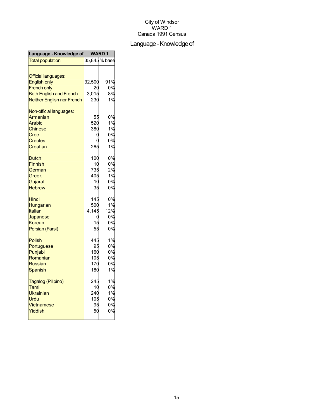## Language - Knowledge of

| Language - Knowledge of                                                                                                                        | WARD <sub>1</sub>                     |                                   |
|------------------------------------------------------------------------------------------------------------------------------------------------|---------------------------------------|-----------------------------------|
| <b>Total population</b>                                                                                                                        |                                       | 35,845 % base                     |
| <b>Official languages:</b><br><b>English only</b><br><b>French only</b><br><b>Both English and French</b><br><b>Neither English nor French</b> | 32,500<br>20<br>3,015<br>230          | 91%<br>0%<br>8%<br>1%             |
| Non-official languages:<br>Armenian<br>Arabic<br><b>Chinese</b><br>Cree<br>Creoles<br>Croatian                                                 | 55<br>520<br>380<br>C<br>265          | 0%<br>1%<br>1%<br>0%<br>0%<br>1%  |
| <b>Dutch</b><br><b>Finnish</b><br>German<br>Greek<br>Gujarati<br><b>Hebrew</b>                                                                 | 100<br>10<br>735<br>405<br>10<br>35   | 0%<br>0%<br>2%<br>1%<br>0%<br>0%  |
| Hindi<br>Hungarian<br>Italian<br>Japanese<br>Korean<br>Persian (Farsi)                                                                         | 145<br>500<br>4,145<br>15<br>55       | 0%<br>1%<br>12%<br>0%<br>0%<br>0% |
| <b>Polish</b><br>Portuguese<br>Punjabi<br>Romanian<br><b>Russian</b><br>Spanish                                                                | 445<br>95<br>160<br>105<br>170<br>180 | 1%<br>0%<br>0%<br>0%<br>0%<br>1%  |
| Tagalog (Pilipino)<br>Tamil<br><b>Ukrainian</b><br>Urdu<br>Vietnamese<br>Yiddish                                                               | 245<br>10<br>240<br>105<br>95<br>50   | 1%<br>0%<br>1%<br>0%<br>0%<br>0%  |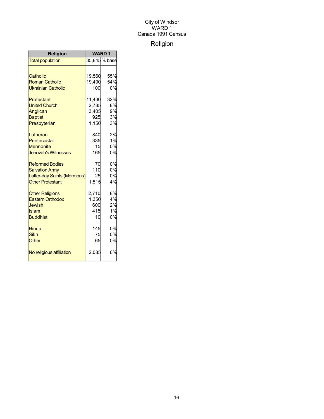## Religion

| Religion                    | <b>WARD1</b> |               |
|-----------------------------|--------------|---------------|
| <b>Total population</b>     |              | 35,845 % base |
|                             |              |               |
| Catholic                    | 19,560       | 55%           |
| <b>Roman Catholic</b>       | 19,490       | 54%           |
| <b>Ukrainian Catholic</b>   | 100          | 0%            |
| Protestant                  | 11,430       | 32%           |
| <b>United Church</b>        | 2,785        | 8%            |
| Anglican                    | 3,405        | 9%            |
| <b>Baptist</b>              | 925          | 3%            |
| Presbyterian                | 1,150        | 3%            |
| Lutheran                    | 840          | 2%            |
| Pentecostal                 | 335          | 1%            |
| <b>Mennonite</b>            | 15           | 0%            |
| <b>Jehovah's Witnesses</b>  | 165          | 0%            |
| <b>Reformed Bodies</b>      | 70           | 0%            |
| <b>Salvation Army</b>       | 110          | 0%            |
| Latter-day Saints (Mormons) | 25           | 0%            |
| <b>Other Protestant</b>     | 1,515        | 4%            |
| <b>Other Religions</b>      | 2,710        | 8%            |
| <b>Eastern Orthodox</b>     | 1,350        | 4%            |
| <b>Jewish</b>               | 600          | 2%            |
| Islam                       | 415          | 1%            |
| <b>Buddhist</b>             | 10           | 0%            |
| <b>Hindu</b>                | 145          | 0%            |
| <b>Sikh</b>                 | 75           | 0%            |
| Other                       | 65           | 0%            |
| No religious affiliation    | 2,085        | 6%            |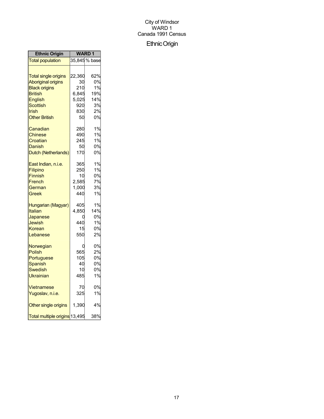## EthnicOrigin

| <b>Ethnic Origin</b>          | WARD 1 |               |
|-------------------------------|--------|---------------|
| <b>Total population</b>       |        | 35,845 % base |
|                               |        |               |
| <b>Total single origins</b>   | 22,360 | 62%           |
| <b>Aboriginal origins</b>     | 30     | 0%            |
| <b>Black origins</b>          | 210    | 1%            |
| <b>British</b>                | 6,845  | 19%           |
| English                       | 5,025  | 14%           |
| <b>Scottish</b>               | 920    | 3%            |
| <b>Irish</b>                  | 830    | 2%            |
| <b>Other British</b>          | 50     | 0%            |
| Canadian                      | 280    | 1%            |
| Chinese                       | 490    | 1%            |
| Croatian                      | 245    | 1%            |
| Danish                        | 50     | 0%            |
| Dutch (Netherlands)           | 170    | 0%            |
| East Indian, n.i.e.           | 365    | 1%            |
| Filipino                      | 250    | 1%            |
| <b>Finnish</b>                | 10     | 0%            |
| French                        | 2,585  | 7%            |
| German                        | 1,000  | 3%            |
| Greek                         | 440    | 1%            |
| Hungarian (Magyar)            | 405    | 1%            |
| Italian                       | 4,850  | 14%           |
| Japanese                      | О      | 0%            |
| Jewish                        | 440    | 1%            |
| Korean                        | 15     | 0%            |
| Lebanese                      | 550    | 2%            |
| Norwegian                     |        | 0%            |
| <b>Polish</b>                 | 565    | 2%            |
| Portuguese                    | 105    | 0%            |
| Spanish                       | 40     | 0%            |
| Swedish                       | 10     | 0%            |
| Ukrainian                     | 485    | 1%            |
| Vietnamese                    | 70     | 0%            |
| Yugoslav, n.i.e.              | 325    | 1%            |
| Other single origins          | 1,390  | 4%            |
| Total multiple origins 13,495 |        | 38%           |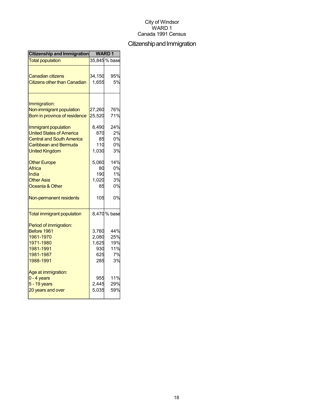## Citizenship and Immigration

| Citizenship and Immigration              | <b>WARD1</b> |               |
|------------------------------------------|--------------|---------------|
| <b>Total population</b>                  |              | 35,845 % base |
|                                          |              |               |
| <b>Canadian citizens</b>                 | 34,150       | 95%           |
| <b>Citizens other than Canadian</b>      | 1,655        | 5%            |
|                                          |              |               |
| Immigration:<br>Non-immigrant population | 27,260       | 76%           |
| Born in province of residence            | 25,520       | 71%           |
|                                          |              |               |
| Immigrant population                     | 8,490        | 24%           |
| <b>United States of America</b>          | 870          | 2%            |
| <b>Central and South America</b>         | 85           | 0%            |
| <b>Caribbean and Bermuda</b>             | 110          | 0%            |
| <b>United Kingdom</b>                    | 1,030        | 3%            |
| <b>Other Europe</b>                      | 5,060        | 14%           |
| Africa                                   | 80           | 0%            |
| India                                    | 190          | 1%            |
| <b>Other Asia</b>                        | 1,020        | 3%            |
| Oceania & Other                          | 85           | 0%            |
| Non-permanent residents                  | 105          | 0%            |
| <b>Total immigrant population</b>        |              | 8,470 % base  |
| Period of immigration:                   |              |               |
| Before 1961                              | 3,760        | 44%           |
| 1961-1970                                | 2,080        | 25%           |
| 1971-1980                                | 1,625        | 19%           |
| 1981-1991                                | 930          | 11%           |
| 1981-1987                                | 625          | 7%            |
| 1988-1991                                | 285          | 3%            |
| Age at immigration:                      |              |               |
| $0 - 4$ years                            | 955          | 11%           |
| $5 - 19$ years                           | 2,445        | 29%           |
| 20 years and over                        | 5,035        | 59%           |
|                                          |              |               |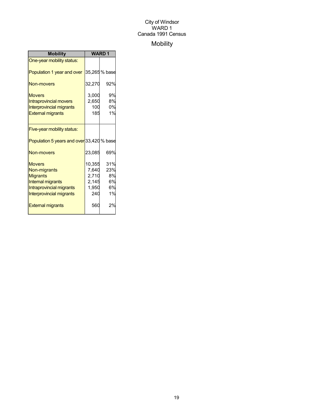## Mobility

| <b>Mobility</b>                           | <b>WARD1</b> |               |
|-------------------------------------------|--------------|---------------|
| One-year mobility status:                 |              |               |
| Population 1 year and over                |              | 35,265 % base |
| Non-movers                                | 32,270       | 92%           |
| <b>Movers</b>                             | 3,000        | 9%            |
| <b>Intraprovincial movers</b>             | 2,650        | 8%            |
| <b>Interprovincial migrants</b>           | 100          | 0%            |
| <b>External migrants</b>                  | 185          | 1%            |
|                                           |              |               |
| Five-year mobility status:                |              |               |
| Population 5 years and over 33,420 % base |              |               |
| Non-movers                                | 23,085       | 69%           |
| <b>Movers</b>                             | 10,355       | 31%           |
| Non-migrants                              | 7,640        | 23%           |
| <b>Migrants</b>                           | 2,710        | 8%            |
| <b>Internal migrants</b>                  | 2,145        | 6%            |
| Intraprovincial migrants                  | 1,950        | 6%            |
| <b>Interprovincial migrants</b>           | 240          | 1%            |
| <b>External migrants</b>                  | 560          | 2%            |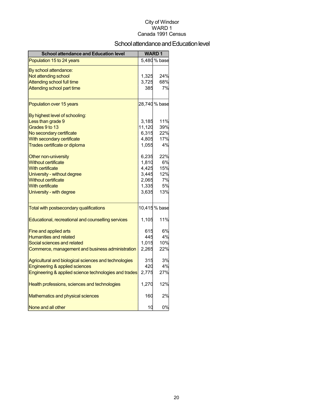## School attendance and Education level

| <b>School attendance and Education level</b>          |        | <b>WARD1</b>  |
|-------------------------------------------------------|--------|---------------|
| Population 15 to 24 years                             |        | 5,480 % base  |
| By school attendance:                                 |        |               |
| Not attending school                                  | 1,325  | 24%           |
| Attending school full time                            | 3,725  | 68%           |
| Attending school part time                            | 385    | 7%            |
| Population over 15 years                              |        | 28,740 % base |
| By highest level of schooling:                        |        |               |
| Less than grade 9                                     | 3,185  | 11%           |
| Grades 9 to 13                                        | 11,120 | 39%           |
| No secondary certificate                              | 6,315  | 22%           |
| With secondary certificate                            | 4,805  | 17%           |
| Trades certificate or diploma                         | 1,055  | 4%            |
| Other non-university                                  | 6,235  | 22%           |
| <b>Without certificate</b>                            | 1,810  | 6%            |
| <b>With certificate</b>                               | 4,425  | 15%           |
| University - without degree                           | 3,445  | 12%           |
| <b>Without certificate</b>                            | 2,065  | 7%            |
| <b>With certificate</b>                               | 1,335  | 5%            |
| University - with degree                              | 3,635  | 13%           |
| Total with postsecondary qualifications               |        | 10,415 % base |
| Educational, recreational and counselling services    | 1,105  | 11%           |
| Fine and applied arts                                 | 615    | 6%            |
| <b>Humanities and related</b>                         | 445    | 4%            |
| Social sciences and related                           | 1,015  | 10%           |
| Commerce, management and business administration      | 2,265  | 22%           |
| Agricultural and biological sciences and technologies | 315    | 3%            |
| Engineering & applied sciences                        | 420    | 4%            |
| Engineering & applied science technologies and trades | 2,775  | 27%           |
| Health professions, sciences and technologies         | 1,270  | 12%           |
| Mathematics and physical sciences                     | 160    | 2%            |
| None and all other                                    | 10     | 0%            |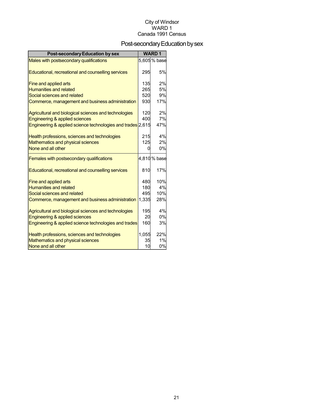## Post-secondary Education by sex

| <b>Post-secondary Education by sex</b>                      |       | <b>WARD1</b> |
|-------------------------------------------------------------|-------|--------------|
| Males with postsecondary qualifications                     |       | 5,605% base  |
| Educational, recreational and counselling services          | 295   | 5%           |
| Fine and applied arts                                       | 135   | 2%           |
| <b>Humanities and related</b>                               | 265   | 5%           |
| Social sciences and related                                 | 520   | 9%           |
| Commerce, management and business administration            | 930   | 17%          |
| Agricultural and biological sciences and technologies       | 120   | 2%           |
| Engineering & applied sciences                              | 400   | 7%           |
| Engineering & applied science technologies and trades 2,615 |       | 47%          |
| Health professions, sciences and technologies               | 215   | 4%           |
| Mathematics and physical sciences                           | 125   | 2%           |
| None and all other                                          | U     | 0%           |
| Females with postsecondary qualifications                   |       | 4,810% base  |
| Educational, recreational and counselling services          | 810   | 17%          |
| <b>Fine and applied arts</b>                                | 480   | 10%          |
| <b>Humanities and related</b>                               | 180   | 4%           |
| Social sciences and related                                 | 495   | 10%          |
| Commerce, management and business administration            | 1,335 | 28%          |
| Agricultural and biological sciences and technologies       | 195   | 4%           |
| Engineering & applied sciences                              | 20    | 0%           |
| Engineering & applied science technologies and trades       | 160   | 3%           |
| Health professions, sciences and technologies               | 1,055 | 22%          |
| Mathematics and physical sciences                           | 35    | 1%           |
| None and all other                                          | 10    | 0%           |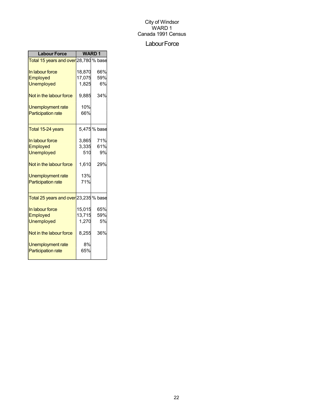#### Labour Force

| <b>Labour Force</b>                   | <b>WARD1</b> |             |  |
|---------------------------------------|--------------|-------------|--|
| Total 15 years and over 28,780 % base |              |             |  |
| In labour force                       | 18,870       | 66%         |  |
| <b>Employed</b>                       | 17,075       | 59%         |  |
| <b>Unemployed</b>                     | 1,825        | 6%          |  |
| Not in the labour force               | 9,885        | 34%         |  |
| Unemployment rate                     | 10%          |             |  |
| <b>Participation rate</b>             | 66%          |             |  |
| Total 15-24 years                     |              | 5,475% base |  |
| In labour force                       | 3,865        | 71%         |  |
| Employed                              | 3,335        | 61%         |  |
| <b>Unemployed</b>                     | 510          | 9%          |  |
| Not in the labour force               | 1,610        | 29%         |  |
| Unemployment rate                     | 13%          |             |  |
| <b>Participation rate</b>             | 71%          |             |  |
| Total 25 years and over 23,235 % base |              |             |  |
| In labour force                       | 15,015       | 65%         |  |
| Employed                              | 13,715       | 59%         |  |
| <b>Unemployed</b>                     | 1,270        | 5%          |  |
| Not in the labour force               | 8,255        | 36%         |  |
| Unemployment rate                     | 8%           |             |  |
| <b>Participation rate</b>             | 65%          |             |  |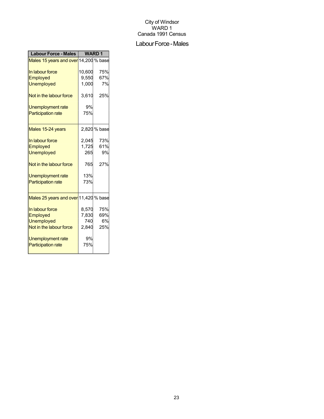#### Labour Force - Males

| <b>Labour Force - Males</b>           | <b>WARD1</b> |              |
|---------------------------------------|--------------|--------------|
| Males 15 years and over 14,200 % base |              |              |
| In labour force                       | 10,600       | 75%          |
| Employed                              | 9,550        | 67%          |
| <b>Unemployed</b>                     | 1,000        | 7%           |
| Not in the labour force               | 3,610        | 25%          |
| Unemployment rate                     | 9%           |              |
| <b>Participation rate</b>             | 75%          |              |
| Males 15-24 years                     |              | 2,820 % base |
| In labour force                       | 2,045        | 73%          |
| Employed                              | 1,725        | 61%          |
| <b>Unemployed</b>                     | 265          | 9%           |
| Not in the labour force               | 765          | 27%          |
| Unemployment rate                     | 13%          |              |
| <b>Participation rate</b>             | 73%          |              |
| Males 25 years and over 11,420 % base |              |              |
| In labour force                       | 8,570        | 75%          |
| Employed                              | 7,830        | 69%          |
| <b>Unemployed</b>                     | 740          | 6%           |
| Not in the labour force               | 2,840        | 25%          |
| Unemployment rate                     | 9%           |              |
| <b>Participation rate</b>             | 75%          |              |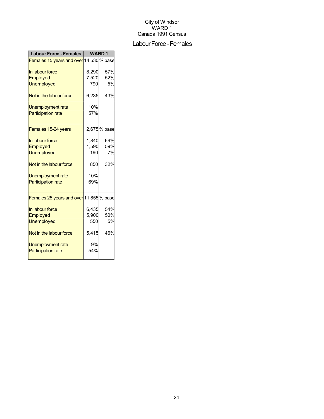#### Labour Force - Females

| <b>Labour Force - Females</b>           | <b>WARD1</b> |             |
|-----------------------------------------|--------------|-------------|
| Females 15 years and over 14,530 % base |              |             |
| In labour force                         | 8,290        | 57%         |
| <b>Employed</b>                         | 7,520        | 52%         |
| <b>Unemployed</b>                       | 790          | 5%          |
| Not in the labour force                 | 6,235        | 43%         |
| Unemployment rate                       | 10%          |             |
| <b>Participation rate</b>               | 57%          |             |
|                                         |              |             |
| Females 15-24 years                     |              | 2,675% base |
| In labour force                         | 1,840        | 69%         |
| Employed                                | 1,590        | 59%         |
| <b>Unemployed</b>                       | 190          | 7%          |
| Not in the labour force                 | 850          | 32%         |
| Unemployment rate                       | 10%          |             |
| <b>Participation rate</b>               | 69%          |             |
|                                         |              |             |
| Females 25 years and over 11,855 % base |              |             |
| In labour force                         | 6,435        | 54%         |
| Employed                                | 5,900        | 50%         |
| <b>Unemployed</b>                       | 550          | 5%          |
| Not in the labour force                 | 5,415        | 46%         |
| Unemployment rate                       | 9%           |             |
| <b>Participation rate</b>               | 54%          |             |
|                                         |              |             |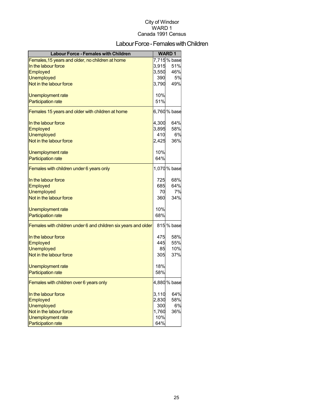## Labour Force - Females with Children

| <b>Labour Force - Females with Children</b>                    |       | <b>WARD1</b> |
|----------------------------------------------------------------|-------|--------------|
| Females, 15 years and older, no children at home               |       | 7,715% base  |
| In the labour force                                            | 3,915 | 51%          |
| <b>Employed</b>                                                | 3,550 | 46%          |
| <b>Unemployed</b>                                              | 390   | 5%           |
| Not in the labour force                                        | 3,790 | 49%          |
|                                                                | 10%   |              |
| Unemployment rate<br><b>Participation rate</b>                 | 51%   |              |
|                                                                |       |              |
| Females 15 years and older with children at home               |       | 6,760% base  |
| In the labour force                                            | 4,300 | 64%          |
| Employed                                                       | 3,895 | 58%          |
| <b>Unemployed</b>                                              | 410   | 6%           |
| Not in the labour force                                        | 2,425 | 36%          |
| Unemployment rate                                              | 10%   |              |
| <b>Participation rate</b>                                      | 64%   |              |
| Females with children under 6 years only                       |       | 1,070% base  |
| In the labour force                                            | 725   | 68%          |
| Employed                                                       | 685   | 64%          |
| <b>Unemployed</b>                                              | 70    | 7%           |
| Not in the labour force                                        | 360   | 34%          |
|                                                                |       |              |
| Unemployment rate                                              | 10%   |              |
| <b>Participation rate</b>                                      | 68%   |              |
| Females with children under 6 and children six years and older |       | 815 % base   |
| In the labour force                                            | 475   | 58%          |
| Employed                                                       | 445   | 55%          |
| <b>Unemployed</b>                                              | 85    | 10%          |
| Not in the labour force                                        | 305   | 37%          |
| Unemployment rate                                              | 18%   |              |
| <b>Participation rate</b>                                      | 58%   |              |
| Females with children over 6 years only                        |       | 4,880 % base |
| In the labour force                                            | 3,110 | 64%          |
| Employed                                                       | 2,830 | 58%          |
| <b>Unemployed</b>                                              | 300   | 6%           |
| Not in the labour force                                        | 1,760 | 36%          |
| Unemployment rate                                              | 10%   |              |
| <b>Participation rate</b>                                      | 64%   |              |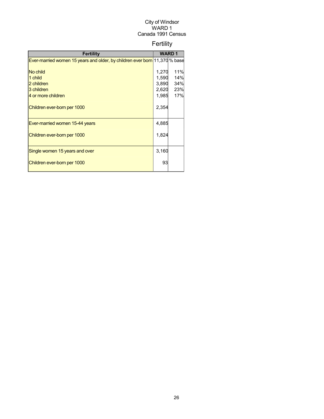## Fertility

| <b>Fertility</b>                                                           |       | <b>WARD1</b> |
|----------------------------------------------------------------------------|-------|--------------|
| Ever-married women 15 years and older, by children ever born 11,370 % base |       |              |
|                                                                            |       |              |
| No child                                                                   | 1,270 | 11%          |
| 1 child                                                                    | 1,590 | 14%          |
| 2 children                                                                 | 3,890 | 34%          |
| 3 children                                                                 | 2,620 | 23%          |
| 4 or more children                                                         | 1,985 | 17%          |
| Children ever-born per 1000                                                | 2,354 |              |
| Ever-married women 15-44 years                                             | 4,885 |              |
| Children ever-born per 1000                                                | 1,824 |              |
| Single women 15 years and over                                             | 3,160 |              |
| Children ever-born per 1000                                                | 93    |              |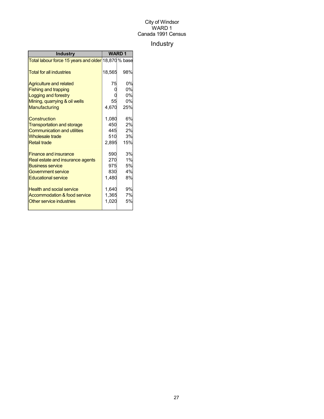## Industry

| <b>Industry</b>                                     | <b>WARD1</b> |           |
|-----------------------------------------------------|--------------|-----------|
| Total labour force 15 years and older 18,870 % base |              |           |
| <b>Total for all industries</b>                     | 18,565       | 98%       |
| <b>Agriculture and related</b>                      | 75           | 0%        |
| <b>Fishing and trapping</b>                         |              | 0%        |
| Logging and forestry                                |              | 0%        |
| Mining, quarrying & oil wells                       | 55           | 0%        |
| Manufacturing                                       | 4,670        | 25%       |
| Construction                                        | 1,080        | 6%        |
| <b>Transportation and storage</b>                   | 450          | 2%        |
| <b>Communication and utilities</b>                  | 445          | 2%        |
| Wholesale trade                                     | 510          | <b>3%</b> |
| <b>Retail trade</b>                                 | 2,895        | 15%       |
| <b>Finance and insurance</b>                        | 590          | 3%        |
| Real estate and insurance agents                    | 270          | 1%        |
| <b>Business service</b>                             | 975          | 5%        |
| Government service                                  | 830          | 4%        |
| <b>Educational service</b>                          | 1,480        | 8%        |
| <b>Health and social service</b>                    | 1,640        | 9%        |
| Accommodation & food service                        | 1,365        | 7%        |
| Other service industries                            | 1,020        | 5%        |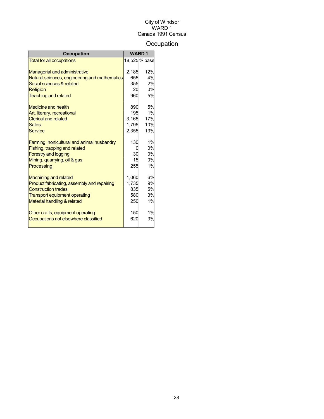## **Occupation**

| <b>Occupation</b>                             |       | <b>WARD1</b>  |
|-----------------------------------------------|-------|---------------|
| <b>Total for all occupations</b>              |       | 18,525 % base |
|                                               |       |               |
| <b>Managerial and administrative</b>          | 2,185 | 12%           |
| Natural sciences, engineering and mathematics | 655   | 4%            |
| Social sciences & related                     | 355   | 2%            |
| Religion                                      | 20    | 0%            |
| <b>Teaching and related</b>                   | 960   | 5%            |
| Medicine and health                           | 890   | 5%            |
| Art, literary, recreational                   | 195   | 1%            |
| <b>Clerical and related</b>                   | 3,165 | 17%           |
| <b>Sales</b>                                  | 1,795 | 10%           |
| Service                                       | 2,355 | 13%           |
| Farming, horticultural and animal husbandry   | 130   | 1%            |
| Fishing, trapping and related                 |       | 0%            |
| <b>Forestry and logging</b>                   | 30    | 0%            |
| Mining, quarrying, oil & gas                  | 15    | 0%            |
| Processing                                    | 255   | 1%            |
| <b>Machining and related</b>                  | 1,060 | 6%            |
| Product fabricating, assembly and repairing   | 1,735 | 9%            |
| <b>Construction trades</b>                    | 835   | 5%            |
| <b>Transport equipment operating</b>          | 580   | 3%            |
| Material handling & related                   | 250   | 1%            |
| Other crafts, equipment operating             | 150   | 1%            |
| Occupations not elsewhere classified          | 620   | 3%            |
|                                               |       |               |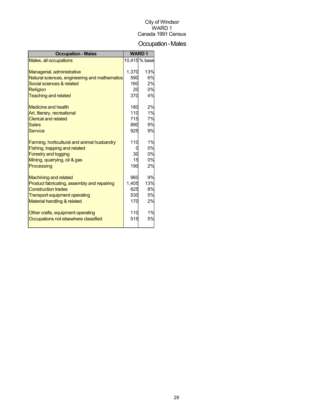## Occupation-Males

| <b>Occupation - Males</b>                     |       | <b>WARD1</b>  |
|-----------------------------------------------|-------|---------------|
| Males, all occupations                        |       | 10,415 % base |
|                                               |       |               |
| Managerial, administrative                    | 1,370 | 13%           |
| Natural sciences, engineering and mathematics | 590   | 6%            |
| Social sciences & related                     | 160   | 2%            |
| Religion                                      | 20    | 0%            |
| <b>Teaching and related</b>                   | 370   | 4%            |
| Medicine and health                           | 180   | 2%            |
| Art, literary, recreational                   | 110   | 1%            |
| <b>Clerical and related</b>                   | 715   | 7%            |
| <b>Sales</b>                                  | 890   | 9%            |
| <b>Service</b>                                | 925   | 9%            |
|                                               |       |               |
| Farming, horticultural and animal husbandry   | 110   | 1%            |
| Fishing, trapping and related                 |       | 0%            |
| <b>Forestry and logging</b>                   | 30    | 0%            |
| Mining, quarrying, oil & gas                  | 15    | 0%            |
| Processing                                    | 190   | 2%            |
| <b>Machining and related</b>                  | 960   | 9%            |
| Product fabricating, assembly and repairing   | 1,405 | 13%           |
| <b>Construction trades</b>                    | 825   | 8%            |
| <b>Transport equipment operating</b>          | 530   | 5%            |
| Material handling & related                   | 170   | 2%            |
|                                               |       | 1%            |
| Other crafts, equipment operating             | 110   |               |
| Occupations not elsewhere classified          | 515   | 5%            |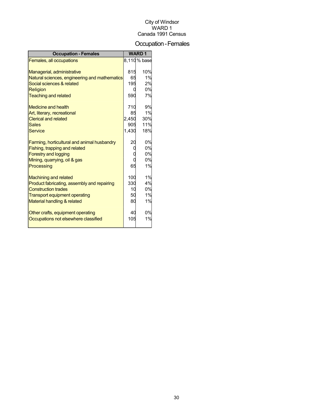## Occupation-Females

| <b>Occupation - Females</b>                   |       | <b>WARD1</b> |
|-----------------------------------------------|-------|--------------|
| Females, all occupations                      |       | 8,110% base  |
|                                               |       |              |
| Managerial, administrative                    | 815   | 10%          |
| Natural sciences, engineering and mathematics | 65    | 1%           |
| Social sciences & related                     | 195   | 2%           |
| Religion                                      | O     | 0%           |
| <b>Teaching and related</b>                   | 590   | 7%           |
| <b>Medicine and health</b>                    | 710   | 9%           |
| Art, literary, recreational                   | 85    | 1%           |
| <b>Clerical and related</b>                   | 2,450 | 30%          |
| <b>Sales</b>                                  | 905   | 11%          |
| <b>Service</b>                                | 1,430 | 18%          |
| Farming, horticultural and animal husbandry   | 20    | 0%           |
| Fishing, trapping and related                 | 0     | 0%           |
| <b>Forestry and logging</b>                   |       | 0%           |
| Mining, quarrying, oil & gas                  |       | 0%           |
| Processing                                    | 65    | 1%           |
| <b>Machining and related</b>                  | 100   | 1%           |
| Product fabricating, assembly and repairing   | 330   | 4%           |
| <b>Construction trades</b>                    | 10    | 0%           |
| <b>Transport equipment operating</b>          | 50    | 1%           |
| Material handling & related                   | 80    | 1%           |
| Other crafts, equipment operating             | 40    | 0%           |
| Occupations not elsewhere classified          | 105   | 1%           |
|                                               |       |              |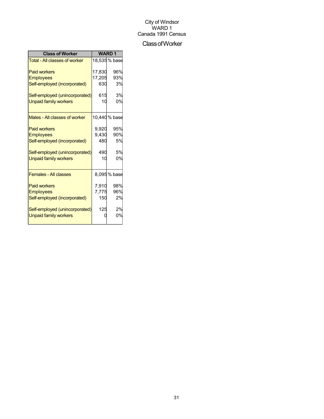#### ClassofWorker

| <b>Class of Worker</b>               | <b>WARD1</b> |               |
|--------------------------------------|--------------|---------------|
| <b>Total - All classes of worker</b> |              | 18,535 % base |
| <b>Paid workers</b>                  | 17.830       | 96%           |
| <b>Employees</b>                     | 17,205       | 93%           |
| Self-employed (incorporated)         | 630          | 3%            |
| Self-employed (unincorporated)       | 615          | 3%            |
| <b>Unpaid family workers</b>         | 10           | 0%            |
| Males - All classes of worker        |              | 10,440 % base |
| <b>Paid workers</b>                  | 9,920        | 95%           |
| <b>Employees</b>                     | 9,430        | 90%           |
| Self-employed (incorporated)         | 480          | 5%            |
| Self-employed (unincorporated)       | 490          | 5%            |
| <b>Unpaid family workers</b>         | 10           | 0%            |
| <b>Females - All classes</b>         |              | 8,095 % base  |
| <b>Paid workers</b>                  | 7,910        | 98%           |
| <b>Employees</b>                     | 7,775        | 96%           |
| Self-employed (incorporated)         | 150          | 2%            |
| Self-employed (unincorporated)       | 125          | 2%            |
| <b>Unpaid family workers</b>         |              | 0%            |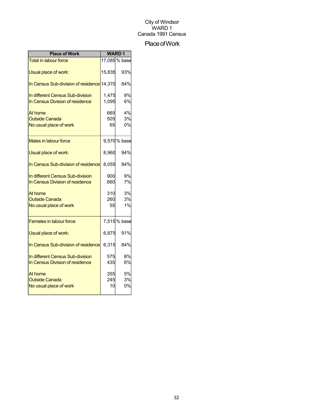## Place of Work

| <b>Place of Work</b>                       | <b>WARD1</b> |              |
|--------------------------------------------|--------------|--------------|
| <b>Total in labour force</b>               |              | 17,085% base |
| Usual place of work:                       | 15,835       | 93%          |
| In Census Sub-division of residence 14,370 |              | 84%          |
| In different Census Sub-division           | 1,475        | 9%           |
| In Census Division of residence            | 1,095        | 6%           |
| At home                                    | 665          | 4%           |
| <b>Outside Canada</b>                      | 505          | 3%           |
| No usual place of work                     | 65           | 0%           |
| <b>Males in labour force</b>               |              | 9,570 % base |
| Usual place of work:                       | 8,960        | 94%          |
| In Census Sub-division of residence        | 8,055        | 84%          |
| In different Census Sub-division           | 900          | 9%           |
| In Census Division of residence            | 660          | 7%           |
| At home                                    | 310          | 3%           |
| <b>Outside Canada</b>                      | 260          | 3%           |
| No usual place of work                     | 55           | 1%           |
| <b>Females in labour force</b>             |              | 7,515% base  |
| Usual place of work:                       | 6,875        | 91%          |
| In Census Sub-division of residence        | 6,315        | 84%          |
| In different Census Sub-division           | 575          | 8%           |
| In Census Division of residence            | 435          | 6%           |
| At home                                    | 355          | 5%           |
| <b>Outside Canada</b>                      | 245          | 3%           |
| No usual place of work                     | 10           | 0%           |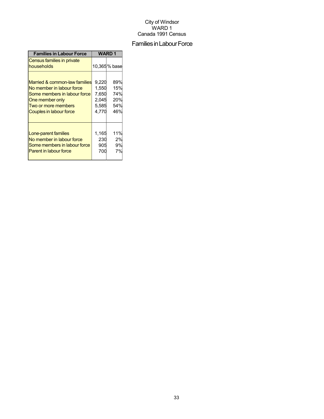## Families in Labour Force

| <b>Families in Labour Force</b>          | WARD 1 |              |
|------------------------------------------|--------|--------------|
| Census families in private<br>households |        | 10,365% base |
| Married & common-law families            | 9,220  | 89%          |
| No member in labour force                | 1,550  | 15%          |
| Some members in labour force             | 7,650  | 74%          |
| One member only                          | 2,045  | 20%          |
| Two or more members                      | 5,585  | 54%          |
| Couples in labour force                  | 4,770  | 46%          |
| Lone-parent families                     | 1,165  | 11%          |
| No member in labour force                | 230    | 2%           |
| Some members in labour force             | 905    | 9%           |
| <b>Parent in labour force</b>            | 700    | 7%           |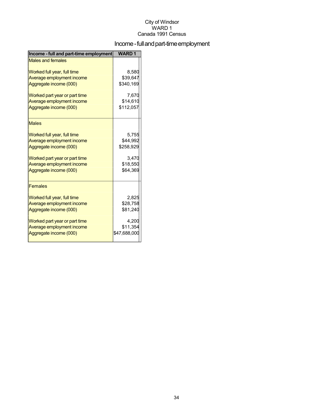## Income - full and part-time employment

| Income - full and part-time employment | <b>WARD1</b> |
|----------------------------------------|--------------|
| <b>Males and females</b>               |              |
| Worked full year, full time            | 8,580        |
| Average employment income              | \$39,647     |
| Aggregate income (000)                 | \$340,169    |
| Worked part year or part time          | 7,670        |
| Average employment income              | \$14,610     |
| Aggregate income (000)                 | \$112,057    |
| <b>Males</b>                           |              |
| Worked full year, full time            | 5,755        |
| Average employment income              | \$44,992     |
| Aggregate income (000)                 | \$258,929    |
| Worked part year or part time          | 3,470        |
| Average employment income              | \$18,550     |
| Aggregate income (000)                 | \$64,369     |
| <b>Females</b>                         |              |
| Worked full year, full time            | 2,825        |
| Average employment income              | \$28,758     |
| Aggregate income (000)                 | \$81,240     |
| Worked part year or part time          | 4,200        |
| Average employment income              | \$11,354     |
| Aggregate income (000)                 | \$47,688,000 |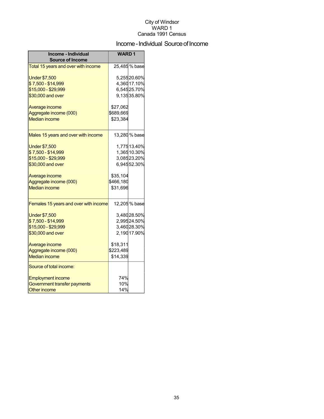## Income - Individual Source of Income

| Income - Individual<br><b>Source of Income</b> | <b>WARD1</b> |               |
|------------------------------------------------|--------------|---------------|
| Total 15 years and over with income            |              | 25,485 % base |
| <b>Under \$7,500</b>                           |              | 5,25520.60%   |
| \$7,500 - \$14,999                             |              | 4,36017.10%   |
| \$15,000 - \$29,999                            |              | 6,54525.70%   |
| \$30,000 and over                              |              | 9,13535.80%   |
| Average income                                 | \$27,062     |               |
| Aggregate income (000)                         | \$689,669    |               |
| <b>Median income</b>                           | \$23,384     |               |
| Males 15 years and over with income            |              | 13,280 % base |
| <b>Under \$7,500</b>                           |              | 1,77513.40%   |
| \$7,500 - \$14,999                             |              | 1,36510.30%   |
| \$15,000 - \$29,999                            |              | 3,08523.20%   |
| \$30,000 and over                              |              | 6,94552.30%   |
| Average income                                 | \$35,104     |               |
| Aggregate income (000)                         | \$466,180    |               |
| <b>Median income</b>                           | \$31,696     |               |
| Females 15 years and over with income          |              | 12,205 % base |
| <b>Under \$7,500</b>                           |              | 3,48028.50%   |
| \$7,500 - \$14,999                             |              | 2,99524.50%   |
| \$15,000 - \$29,999                            |              | 3,46028.30%   |
| \$30,000 and over                              |              | 2,19017.90%   |
| Average income                                 | \$18,311     |               |
| Aggregate income (000)                         | \$223,489    |               |
| <b>Median income</b>                           | \$14,339     |               |
| Source of total income:                        |              |               |
| <b>Employment income</b>                       | 74%          |               |
| Government transfer payments                   | 10%          |               |
| <b>Other income</b>                            | 14%          |               |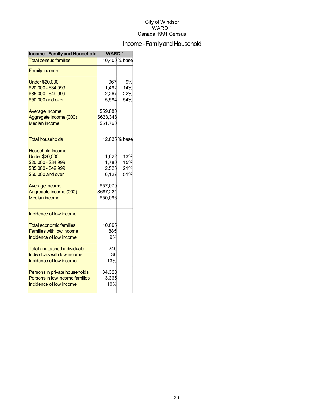## Income - Family and Household

| <b>Income - Family and Household</b> | <b>WARD1</b> |               |
|--------------------------------------|--------------|---------------|
| <b>Total census families</b>         |              | 10,400 % base |
| <b>Family Income:</b>                |              |               |
| <b>Under \$20,000</b>                | 967          | 9%            |
| \$20,000 - \$34,999                  | 1,492        | 14%           |
| \$35,000 - \$49,999                  | 2,267        | 22%           |
| \$50,000 and over                    | 5,584        | 54%           |
| Average income                       | \$59,880     |               |
| Aggregate income (000)               | \$623,348    |               |
| <b>Median income</b>                 | \$51,760     |               |
| <b>Total households</b>              |              | 12,035 % base |
| Household Income:                    |              |               |
| <b>Under \$20,000</b>                | 1,622        | 13%           |
| \$20,000 - \$34,999                  | 1,780        | 15%           |
| \$35,000 - \$49,999                  | 2,523        | 21%           |
| \$50,000 and over                    | 6,127        | 51%           |
| Average income                       | \$57,079     |               |
| Aggregate income (000)               | \$687,231    |               |
| <b>Median income</b>                 | \$50,096     |               |
| Incidence of low income:             |              |               |
| <b>Total economic families</b>       | 10,095       |               |
| <b>Families with low income</b>      | 885          |               |
| Incidence of low income              | 9%           |               |
| Total unattached individuals         | 240          |               |
| Individuals with low income          | 30           |               |
| Incidence of low income              | 13%          |               |
| Persons in private households        | 34,320       |               |
| Persons in low income families       | 3,365        |               |
| Incidence of low income              | 10%          |               |